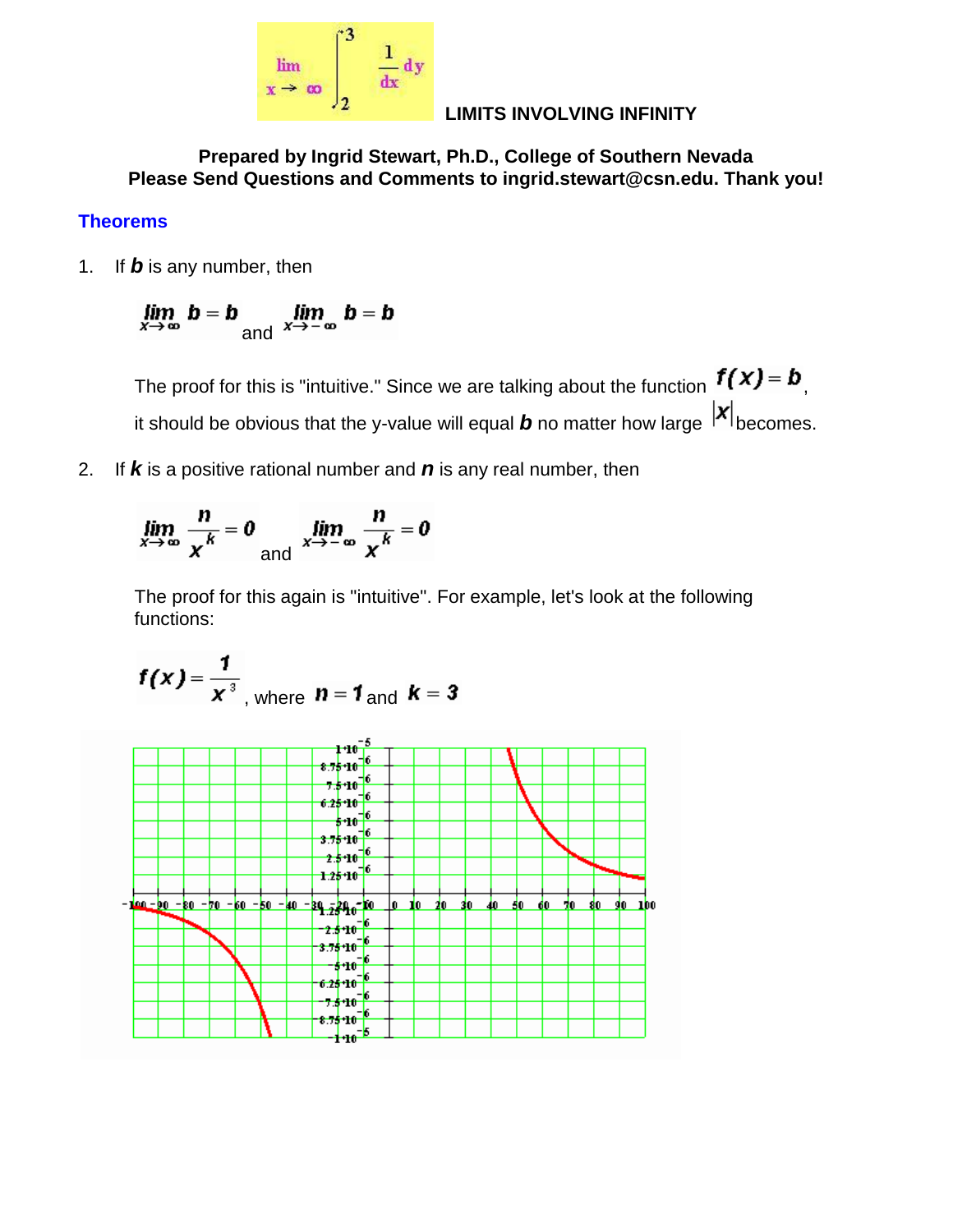

**LIMITS INVOLVING INFINITY**

**Prepared by Ingrid Stewart, Ph.D., College of Southern Nevada Please Send Questions and Comments to ingrid.stewart@csn.edu. Thank you!**

## **Theorems**

1. If *b* is any number, then

$$
\lim_{x \to \infty} b = b \lim_{\text{and } x \to -\infty} b = b
$$

The proof for this is "intuitive." Since we are talking about the function  $f(x) = b$ . it should be obvious that the y-value will equal  $b$  no matter how large  $\vert x \vert_{\text{becomes.}}$ 

2. If *k* is a positive rational number and *n* is any real number, then

$$
\lim_{x \to \infty} \frac{n}{x^k} = 0 \quad \lim_{x \to -\infty} \frac{n}{x^k} = 0
$$

The proof for this again is "intuitive". For example, let's look at the following functions:

$$
f(x) = \frac{1}{x^3}
$$
, where  $n = 1$  and  $k = 3$ 

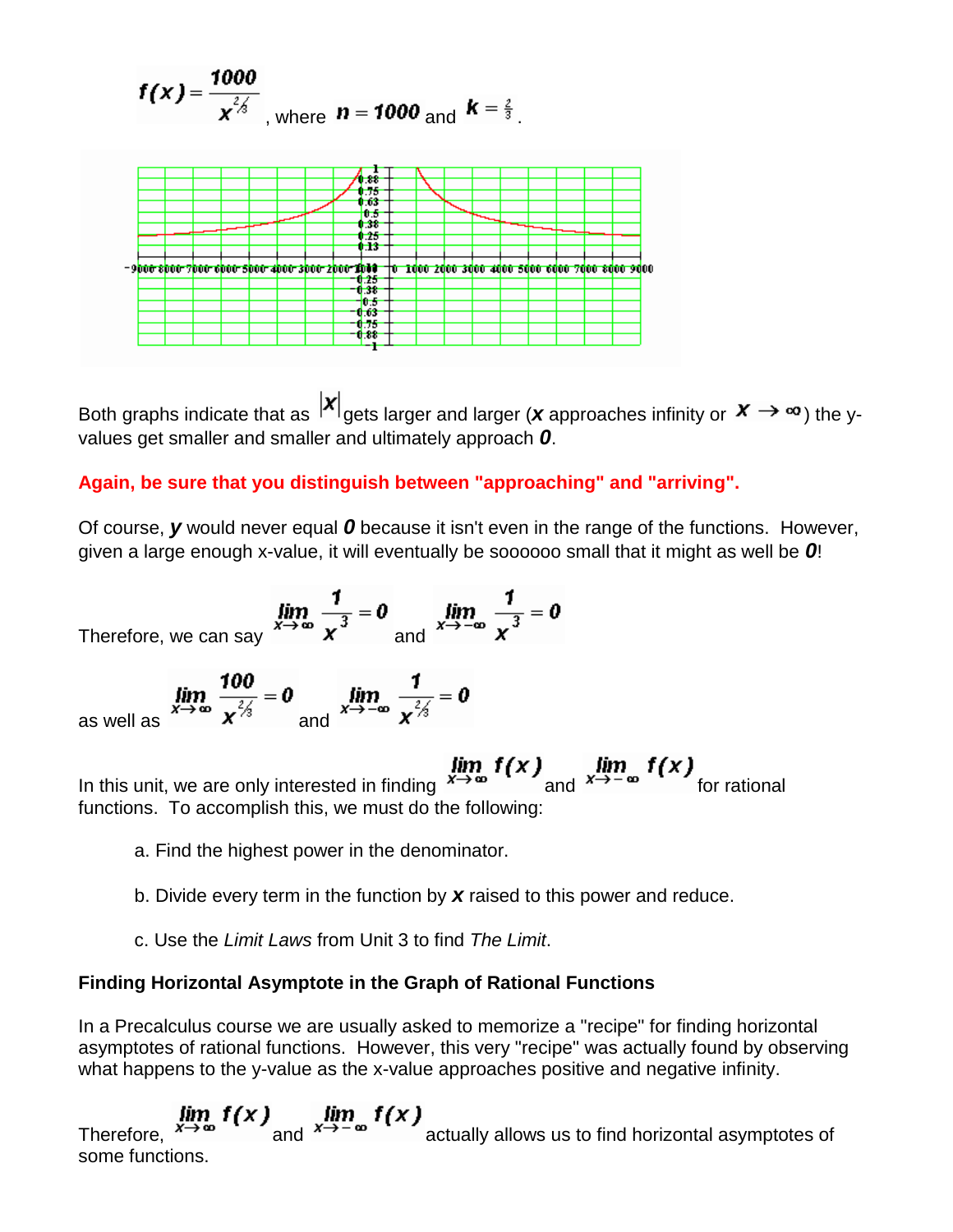$$
f(x) = {1000 \over x^{{2/3} \over 3}}
$$
, where  $n = 1000$  and  $k = {2 \over 3}$ .



Both graphs indicate that as  $|x|$  gets larger and larger (*x* approaches infinity or  $x \rightarrow \infty$ ) the yvalues get smaller and smaller and ultimately approach *0*.

## **Again, be sure that you distinguish between "approaching" and "arriving".**

Of course, *y* would never equal *0* because it isn't even in the range of the functions. However, given a large enough x-value, it will eventually be soooooo small that it might as well be *0*!

Therefore, we can say 
$$
\lim_{x \to \infty} \frac{1}{x^3} = 0
$$
 and  $\lim_{x \to -\infty} \frac{1}{x^3} = 0$ 

as well as 
$$
\lim_{x \to \infty} \frac{100}{x^{\frac{2}{3}}} = 0
$$
 and 
$$
\lim_{x \to -\infty} \frac{1}{x^{\frac{2}{3}}} = 0
$$

In this unit, we are only interested in finding  $\lim_{x\to\infty} f(x)$  and  $\lim_{x\to-\infty} f(x)$  for rational functions. To accomplish this, we must do the following:

- a. Find the highest power in the denominator.
- b. Divide every term in the function by *x* raised to this power and reduce.
- c. Use the *Limit Laws* from Unit 3 to find *The Limit*.

## **Finding Horizontal Asymptote in the Graph of Rational Functions**

In a Precalculus course we are usually asked to memorize a "recipe" for finding horizontal asymptotes of rational functions. However, this very "recipe" was actually found by observing what happens to the y-value as the x-value approaches positive and negative infinity.

 $\lim_{x\to\infty} f(x)$   $\lim_{x\to-\infty} f(x)$  and  $\lim_{x\to-\infty} f(x)$  actually allows us to find horizontal asymptotes of some functions.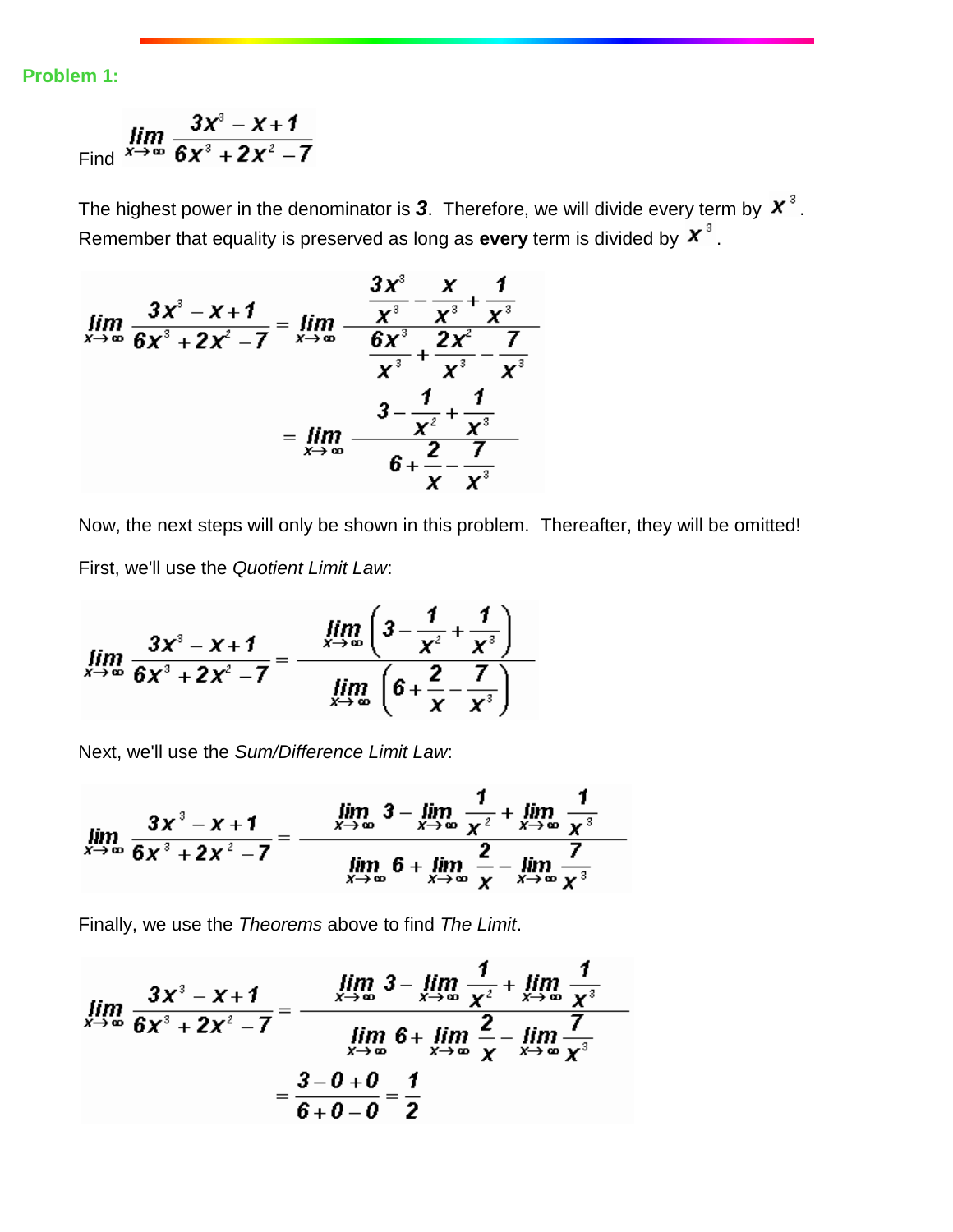**Problem 1:**

$$
\lim_{x\to\infty}\frac{3x^3-x+1}{6x^3+2x^2-7}
$$

The highest power in the denominator is  $3$ . Therefore, we will divide every term by  $\boldsymbol{x}^3$ . Remember that equality is preserved as long as **every** term is divided by  $\boldsymbol{X}^3$ .

$$
\lim_{x \to \infty} \frac{3x^3 - x + 1}{6x^3 + 2x^2 - 7} = \lim_{x \to \infty} \frac{\frac{3x^3}{x^3} - \frac{x}{x^3} + \frac{1}{x^3}}{\frac{6x^3}{x^3} + \frac{2x^2}{x^3} - \frac{7}{x^3}}
$$

$$
= \lim_{x \to \infty} \frac{3 - \frac{1}{x^2} + \frac{1}{x^3}}{6 + \frac{2}{x} - \frac{7}{x^3}}
$$

Now, the next steps will only be shown in this problem. Thereafter, they will be omitted! First, we'll use the *Quotient Limit Law*:

$$
\lim_{x \to \infty} \frac{3x^3 - x + 1}{6x^3 + 2x^2 - 7} = \frac{\lim_{x \to \infty} \left(3 - \frac{1}{x^2} + \frac{1}{x^3}\right)}{\lim_{x \to \infty} \left(6 + \frac{2}{x} - \frac{7}{x^3}\right)}
$$

Next, we'll use the *Sum/Difference Limit Law*:

$$
\lim_{x \to \infty} \frac{3x^3 - x + 1}{6x^3 + 2x^2 - 7} = \frac{\lim_{x \to \infty} 3 - \lim_{x \to \infty} \frac{1}{x^2} + \lim_{x \to \infty} \frac{1}{x^3}}{\lim_{x \to \infty} 6 + \lim_{x \to \infty} \frac{2}{x} - \lim_{x \to \infty} \frac{7}{x^3}}
$$

Finally, we use the *Theorems* above to find *The Limit*.

$$
\lim_{x \to \infty} \frac{3x^3 - x + 1}{6x^3 + 2x^2 - 7} = \frac{\lim_{x \to \infty} 3 - \lim_{x \to \infty} \frac{1}{x^2} + \lim_{x \to \infty} \frac{1}{x^3}}{\lim_{x \to \infty} 6 + \lim_{x \to \infty} \frac{2}{x} - \lim_{x \to \infty} \frac{7}{x^3}} = \frac{3 - 0 + 0}{6 + 0 - 0} = \frac{1}{2}
$$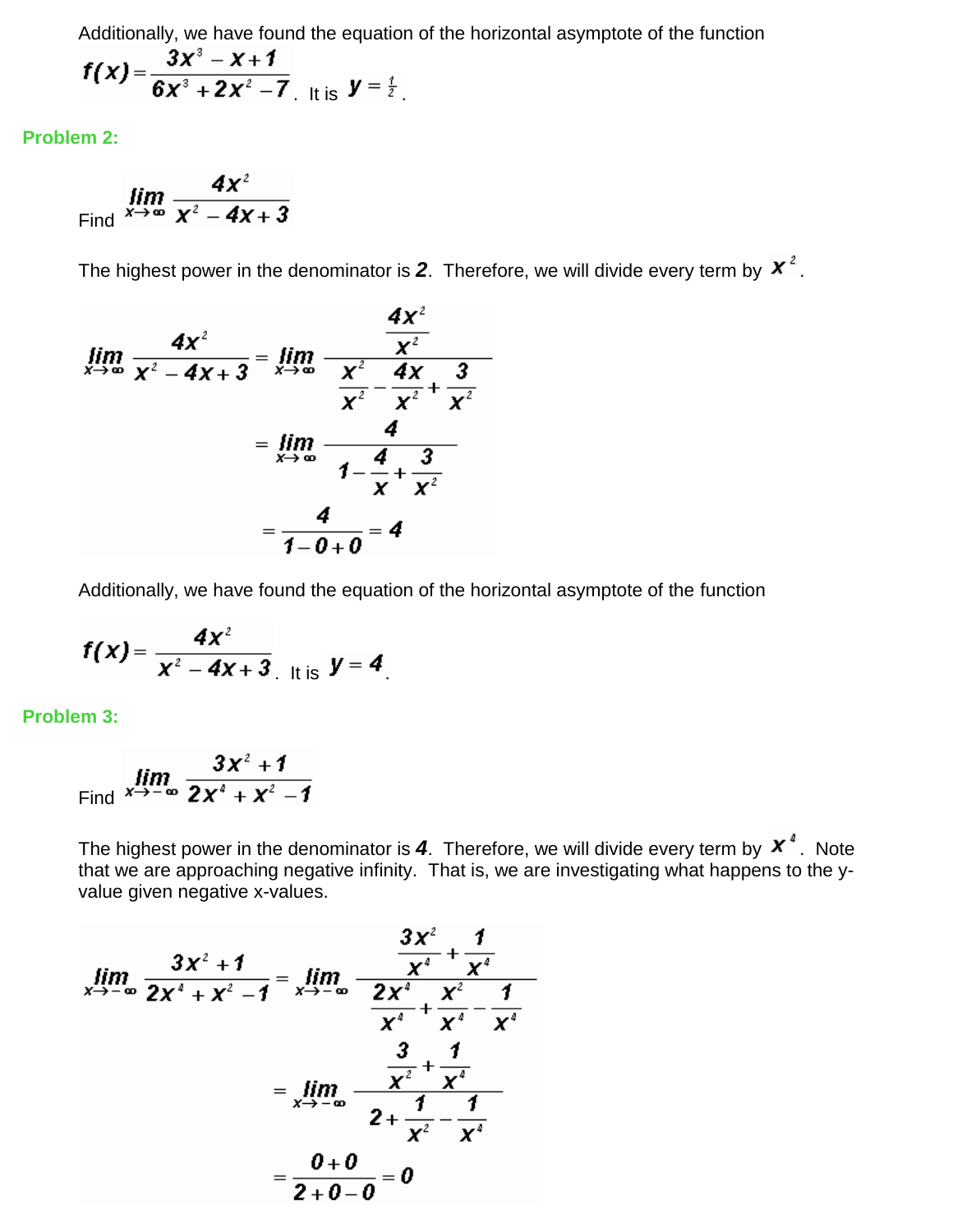Additionally, we have found the equation of the horizontal asymptote of the function

$$
f(x) = \frac{3x^3 - x + 1}{6x^3 + 2x^2 - 7}
$$
 It is  $y = \frac{1}{2}$ .

**Problem 2:**

Find 
$$
\lim_{x\to\infty}\frac{4x^2}{x^2-4x+3}
$$

The highest power in the denominator is 2. Therefore, we will divide every term by  $x^2$ .

$$
\lim_{x \to \infty} \frac{4x^2}{x^2 - 4x + 3} = \lim_{x \to \infty} \frac{\frac{4x^2}{x^2}}{\frac{x^2}{x^2} - \frac{4x}{x^2} + \frac{3}{x^2}}
$$

$$
= \lim_{x \to \infty} \frac{4}{1 - \frac{4}{x} + \frac{3}{x^2}}
$$

$$
= \frac{4}{1 - 0 + 0} = 4
$$

Additionally, we have found the equation of the horizontal asymptote of the function

$$
f(x) = \frac{4x^2}{x^2 - 4x + 3}
$$
 It is  $y = 4$ 

**Problem 3:**

Find 
$$
\lim_{x \to -\infty} \frac{3x^2 + 1}{2x^4 + x^2 - 1}
$$

The highest power in the denominator is  $4$ . Therefore, we will divide every term by  $x^*$ . Note that we are approaching negative infinity. That is, we are investigating what happens to the yvalue given negative x-values.

$$
\lim_{x \to -\infty} \frac{3x^2 + 1}{2x^4 + x^2 - 1} = \lim_{x \to -\infty} \frac{\frac{3x^2}{x^4} + \frac{1}{x^4}}{\frac{2x^4}{x^4} + \frac{x^2}{x^4} - \frac{1}{x^4}}
$$

$$
= \lim_{x \to -\infty} \frac{\frac{3}{x^2} + \frac{1}{x^4}}{2 + \frac{1}{x^2} - \frac{1}{x^4}}
$$

$$
= \frac{0 + 0}{2 + 0 - 0} = 0
$$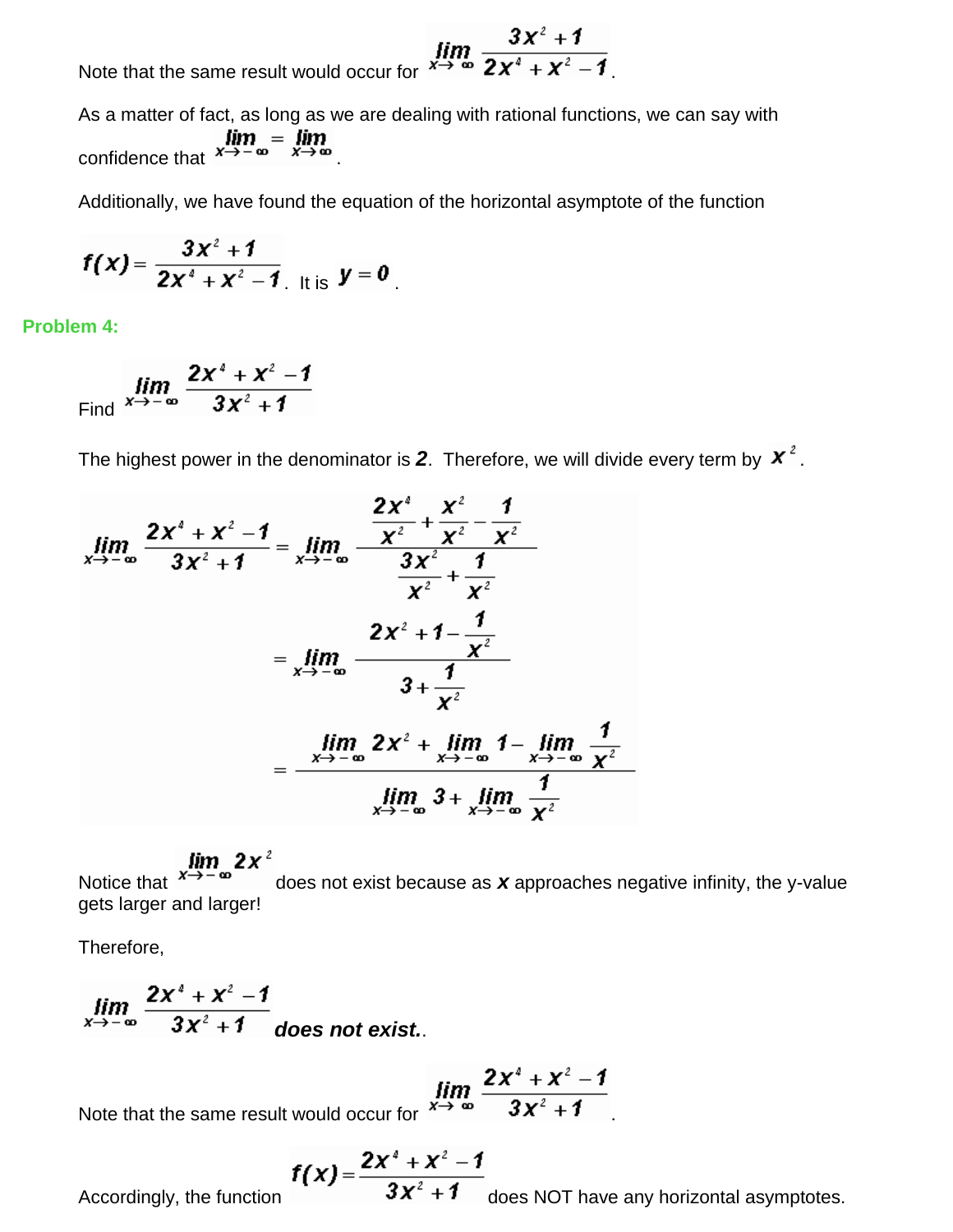Note that the same result would occur for  $\lim_{x\to\infty}\frac{3x^2+1}{2x^4+x^2-1}$ .

As a matter of fact, as long as we are dealing with rational functions, we can say with confidence that  $\lim_{x \to -\infty} = \lim_{x \to \infty}$ 

Additionally, we have found the equation of the horizontal asymptote of the function

$$
f(x) = \frac{3x^2 + 1}{2x^4 + x^2 - 1}
$$
 It is  $y = 0$ 

**Problem 4:**

Find 
$$
\lim_{x \to -\infty} \frac{2x^4 + x^2 - 1}{3x^2 + 1}
$$

The highest power in the denominator is 2. Therefore, we will divide every term by  $x^2$ .

$$
\lim_{x \to -\infty} \frac{2x^4 + x^2 - 1}{3x^2 + 1} = \lim_{x \to -\infty} \frac{\frac{2x^4}{x^2} + \frac{x^2}{x^2} - \frac{1}{x^2}}{\frac{3x^2}{x^2} + \frac{1}{x^2}}
$$
\n
$$
= \lim_{x \to -\infty} \frac{2x^2 + 1 - \frac{1}{x^2}}{3 + \frac{1}{x^2}}
$$
\n
$$
= \frac{\lim_{x \to -\infty} 2x^2 + \lim_{x \to -\infty} 1 - \lim_{x \to -\infty} \frac{1}{x^2}}{\lim_{x \to -\infty} 3 + \lim_{x \to -\infty} \frac{1}{x^2}}
$$

**Notice that**  $x \rightarrow -\infty$   $\mathbf{2x}^2$  does not exist because as **x** approaches negative infinity, the y-value gets larger and larger!

Therefore,

$$
\lim_{x\to -\infty}\frac{2x^4+x^2-1}{3x^2+1}
$$
 does not exist.

Ĭ

Note that the same result would occur for 
$$
\lim_{x \to \infty} \frac{2x^4 + x^2 - 1}{3x^2 + 1}
$$
.

$$
f(x) = \frac{2x^4 + x^2 - 1}{2x^2 - 1}
$$

Accordingly, the function  $3x^2 + 1$  does NOT have any horizontal asymptotes.